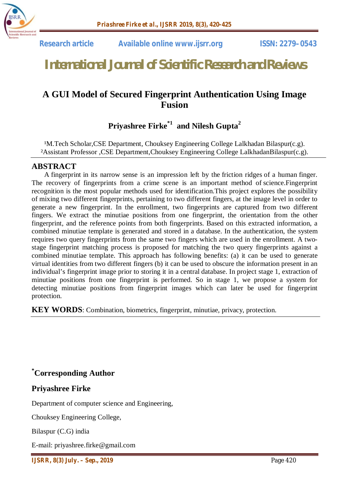

# *International Journal of Scientific Research and Reviews*

## **A GUI Model of Secured Fingerprint Authentication Using Image Fusion**

## **Priyashree Firke\*1 and Nilesh Gupta<sup>2</sup>**

<sup>1</sup>M.Tech Scholar,CSE Department, Chouksey Engineering College Lalkhadan Bilaspur(c.g). ²Assistant Professor ,CSE Department,Chouksey Engineering College LalkhadanBilaspur(c.g).

#### **ABSTRACT**

A fingerprint in its narrow sense is an impression left by the friction ridges of a human finger. The recovery of fingerprints from a crime scene is an important method of science.Fingerprint recognition is the most popular methods used for identification.This project explores the possibility of mixing two different fingerprints, pertaining to two different fingers, at the image level in order to generate a new fingerprint. In the enrollment, two fingerprints are captured from two different fingers. We extract the minutiae positions from one fingerprint, the orientation from the other fingerprint, and the reference points from both fingerprints. Based on this extracted information, a combined minutiae template is generated and stored in a database. In the authentication, the system requires two query fingerprints from the same two fingers which are used in the enrollment. A twostage fingerprint matching process is proposed for matching the two query fingerprints against a combined minutiae template. This approach has following benefits: (a) it can be used to generate virtual identities from two different fingers (b) it can be used to obscure the information present in an individual's fingerprint image prior to storing it in a central database. In project stage 1, extraction of minutiae positions from one fingerprint is performed. So in stage 1, we propose a system for detecting minutiae positions from fingerprint images which can later be used for fingerprint protection.

**KEY WORDS**: Combination, biometrics, fingerprint, minutiae, privacy, protection.

**\*Corresponding Author**

#### **Priyashree Firke**

Department of computer science and Engineering,

Chouksey Engineering College,

Bilaspur (C.G) india

E-mail: priyashree.firke@gmail.com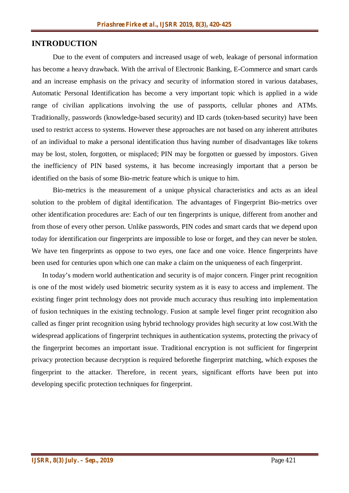#### **INTRODUCTION**

Due to the event of computers and increased usage of web, leakage of personal information has become a heavy drawback. With the arrival of Electronic Banking, E-Commerce and smart cards and an increase emphasis on the privacy and security of information stored in various databases, Automatic Personal Identification has become a very important topic which is applied in a wide range of civilian applications involving the use of passports, cellular phones and ATMs. Traditionally, passwords (knowledge-based security) and ID cards (token-based security) have been used to restrict access to systems. However these approaches are not based on any inherent attributes of an individual to make a personal identification thus having number of disadvantages like tokens may be lost, stolen, forgotten, or misplaced; PIN may be forgotten or guessed by impostors. Given the inefficiency of PIN based systems, it has become increasingly important that a person be identified on the basis of some Bio-metric feature which is unique to him.

Bio-metrics is the measurement of a unique physical characteristics and acts as an ideal solution to the problem of digital identification. The advantages of Fingerprint Bio-metrics over other identification procedures are: Each of our ten fingerprints is unique, different from another and from those of every other person. Unlike passwords, PIN codes and smart cards that we depend upon today for identification our fingerprints are impossible to lose or forget, and they can never be stolen. We have ten fingerprints as oppose to two eyes, one face and one voice. Hence fingerprints have been used for centuries upon which one can make a claim on the uniqueness of each fingerprint.

In today's modern world authentication and security is of major concern. Finger print recognition is one of the most widely used biometric security system as it is easy to access and implement. The existing finger print technology does not provide much accuracy thus resulting into implementation of fusion techniques in the existing technology. Fusion at sample level finger print recognition also called as finger print recognition using hybrid technology provides high security at low cost.With the widespread applications of fingerprint techniques in authentication systems, protecting the privacy of the fingerprint becomes an important issue. Traditional encryption is not sufficient for fingerprint privacy protection because decryption is required beforethe fingerprint matching, which exposes the fingerprint to the attacker. Therefore, in recent years, significant efforts have been put into developing specific protection techniques for fingerprint.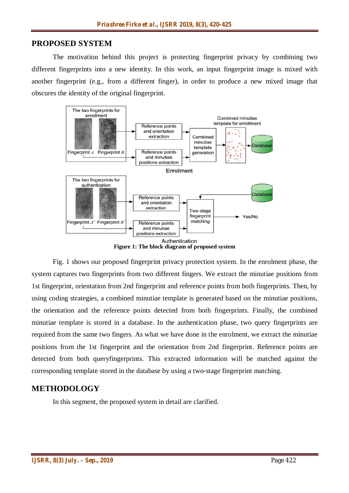#### **PROPOSED SYSTEM**

The motivation behind this project is protecting fingerprint privacy by combining two different fingerprints into a new identity. In this work, an input fingerprint image is mixed with another fingerprint (e.g., from a different finger), in order to produce a new mixed image that obscures the identity of the original fingerprint.



Fig. 1 shows our proposed fingerprint privacy protection system. In the enrolment phase, the system captures two fingerprints from two different fingers. We extract the minutiae positions from 1st fingerprint, orientation from 2nd fingerprint and reference points from both fingerprints. Then, by using coding strategies, a combined minutiae template is generated based on the minutiae positions, the orientation and the reference points detected from both fingerprints. Finally, the combined minutiae template is stored in a database. In the authentication phase, two query fingerprints are required from the same two fingers. As what we have done in the enrolment, we extract the minutiae positions from the 1st fingerprint and the orientation from 2nd fingerprint. Reference points are detected from both queryfingerprints. This extracted information will be matched against the corresponding template stored in the database by using a two-stage fingerprint matching.

#### **METHODOLOGY**

In this segment, the proposed system in detail are clarified.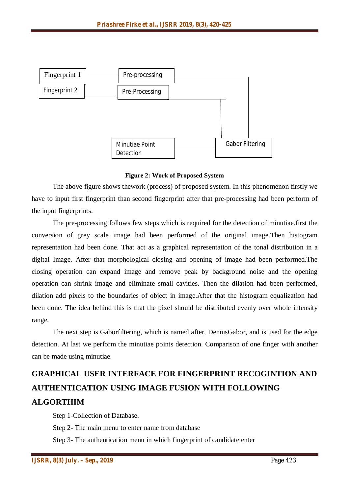

**Figure 2: Work of Proposed System**

The above figure shows thework (process) of proposed system. In this phenomenon firstly we have to input first fingerprint than second fingerprint after that pre-processing had been perform of the input fingerprints.

The pre-processing follows few steps which is required for the detection of minutiae.first the conversion of grey scale image had been performed of the original image.Then histogram representation had been done. That act as a graphical representation of the tonal distribution in a digital Image. After that morphological closing and opening of image had been performed.The closing operation can expand image and remove peak by background noise and the opening operation can shrink image and eliminate small cavities. Then the dilation had been performed, dilation add pixels to the boundaries of object in image.After that the histogram equalization had been done. The idea behind this is that the pixel should be distributed evenly over whole intensity range.

The next step is Gaborfiltering, which is named after, DennisGabor, and is used for the edge detection. At last we perform the minutiae points detection. Comparison of one finger with another can be made using minutiae.

# **GRAPHICAL USER INTERFACE FOR FINGERPRINT RECOGINTION AND AUTHENTICATION USING IMAGE FUSION WITH FOLLOWING ALGORTHIM**

Step 1-Collection of Database.

Step 2- The main menu to enter name from database

Step 3- The authentication menu in which fingerprint of candidate enter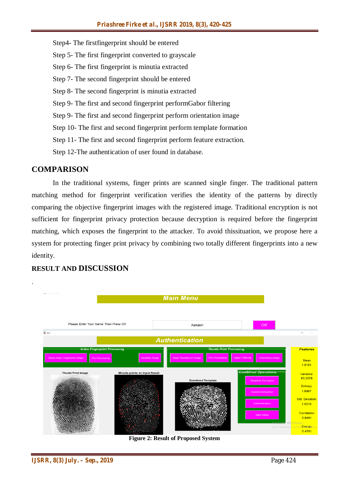Step4- The firstfingerprint should be entered Step 5- The first fingerprint converted to grayscale Step 6- The first fingerprint is minutia extracted Step 7- The second fingerprint should be entered Step 8- The second fingerprint is minutia extracted Step 9- The first and second fingerprint performGabor filtering Step 9- The first and second fingerprint perform orientation image Step 10- The first and second fingerprint perform template formation Step 11- The first and second fingerprint perform feature extraction. Step 12-The authentication of user found in database.

#### **COMPARISON**

.

In the traditional systems, finger prints are scanned single finger. The traditional pattern matching method for fingerprint verification verifies the identity of the patterns by directly comparing the objective fingerprint images with the registered image. Traditional encryption is not sufficient for fingerprint privacy protection because decryption is required before the fingerprint matching, which exposes the fingerprint to the attacker. To avoid thissituation, we propose here a system for protecting finger print privacy by combining two totally different fingerprints into a new identity.



#### **RESULT AND DISCUSSION**

**Figure 2: Result of Proposed System**